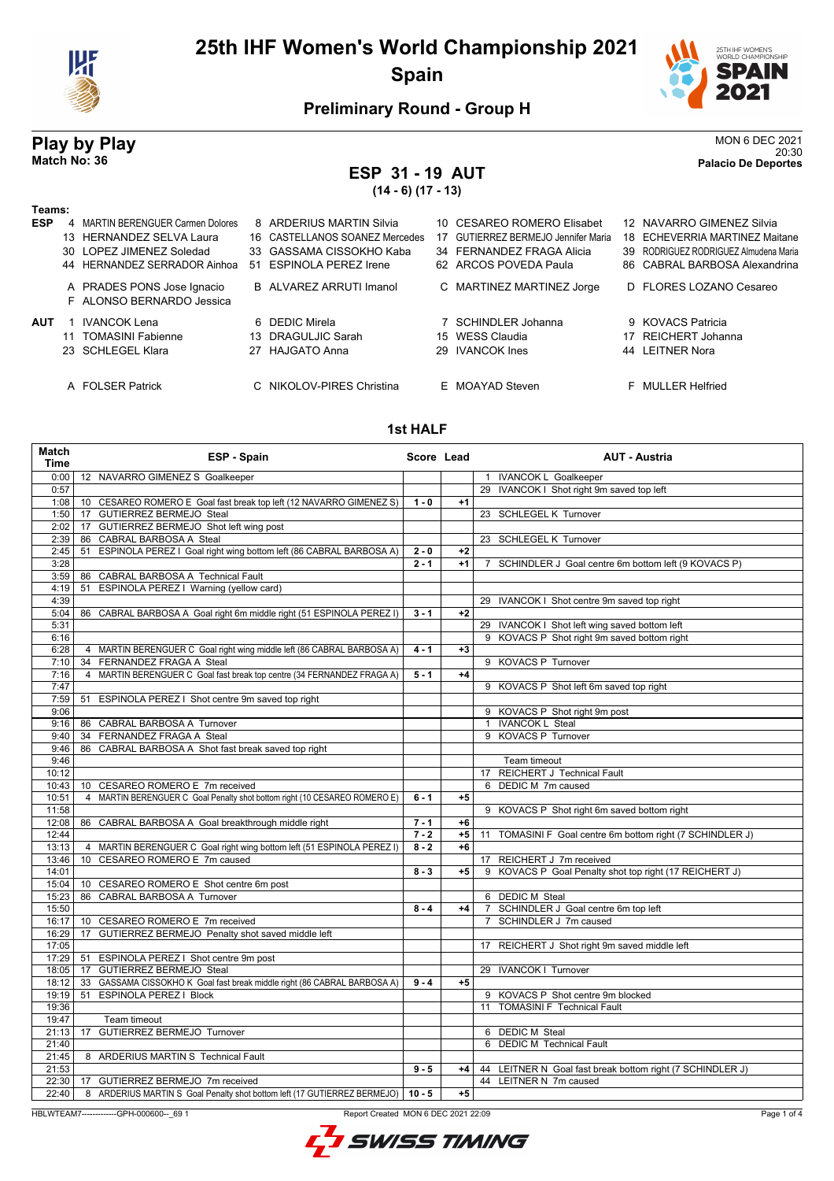



### **Preliminary Round - Group H**

### **ESP 31 - 19 AUT (14 - 6) (17 - 13)**

**Play by Play** MON 6 DEC 2021<br>MON 6 DEC 2021<br>Palacin De Denortes 20:30 **Match No: 36 Palacio De Deportes**

#### **Teams: ESP** 4 MARTIN BERENGUER Carmen Dolores 8 ARDERIUS MARTIN Silvia 10 CESAREO ROMERO Elisabet 12 NAVARRO GIMENEZ Silvia 13 HERNANDEZ SELVA Laura 16 CASTELLANOS SOANEZ Mercedes 17 GUTIERREZ BERMEJO Jennifer Maria 18 ECHEVERRIA MARTINEZ Maitane 30 LOPEZ JIMENEZ Soledad 33 GASSAMA CISSOKHO Kaba 34 FERNANDEZ FRAGA Alicia 39 RODRIGUEZ RODRIGUEZ Almudena Maria 44 HERNANDEZ SERRADOR Ainhoa 51 ESPINOLA PEREZ Irene 62 ARCOS POVEDA Paula 86 CABRAL BARBOSA Alexandrina A PRADES PONS Jose Ignacio B ALVAREZ ARRUTI Imanol C MARTINEZ MARTINEZ Jorge D FLORES LOZANO Cesareo F ALONSO BERNARDO Jessica **AUT** 1 IVANCOK Lena **6 6 DEDIC Mirela 1 1 COVACS Patricia 6 DEDIC Mirela 7 SCHINDLER Johanna** 9 KOVACS Patricia 11 TOMASINI Fabienne 13 DRAGULJIC Sarah 15 WESS Claudia 17 REICHERT Johanna 23 SCHLEGEL Klara 27 HAJGATO Anna 29 IVANCOK Ines 44 LEITNER Nora A FOLSER Patrick C NIKOLOV-PIRES Christina E MOAYAD Steven F MULLER Helfried

#### **1st HALF**

| Match<br><b>Time</b> | <b>ESP - Spain</b>                                                          | Score Lead |      | <b>AUT - Austria</b>                                                  |
|----------------------|-----------------------------------------------------------------------------|------------|------|-----------------------------------------------------------------------|
| 0:00                 | 12 NAVARRO GIMENEZ S Goalkeeper                                             |            |      | 1 IVANCOK L Goalkeeper                                                |
| 0:57                 |                                                                             |            |      | 29 IVANCOK I Shot right 9m saved top left                             |
| 1:08                 | 10 CESAREO ROMERO E Goal fast break top left (12 NAVARRO GIMENEZ S)         | $1 - 0$    | $+1$ |                                                                       |
| 1:50                 | GUTIERREZ BERMEJO Steal<br>17                                               |            |      | 23 SCHLEGEL K Turnover                                                |
| 2:02                 | 17 GUTIERREZ BERMEJO Shot left wing post                                    |            |      |                                                                       |
| 2:39                 | CABRAL BARBOSA A Steal<br>86                                                |            |      | 23 SCHLEGEL K Turnover                                                |
| 2:45                 | ESPINOLA PEREZ I Goal right wing bottom left (86 CABRAL BARBOSA A)<br>51    | $2 - 0$    | $+2$ |                                                                       |
| 3:28                 |                                                                             | $2 - 1$    | $+1$ | SCHINDLER J Goal centre 6m bottom left (9 KOVACS P)<br>$\overline{7}$ |
| 3:59                 | 86 CABRAL BARBOSA A Technical Fault                                         |            |      |                                                                       |
| 4:19                 | ESPINOLA PEREZ I Warning (yellow card)<br>51                                |            |      |                                                                       |
| 4:39                 |                                                                             |            |      | 29 IVANCOK I Shot centre 9m saved top right                           |
| 5:04                 | CABRAL BARBOSA A Goal right 6m middle right (51 ESPINOLA PEREZ I)<br>86     | $3 - 1$    | $+2$ |                                                                       |
| 5:31                 |                                                                             |            |      | 29 IVANCOK I Shot left wing saved bottom left                         |
| 6:16                 |                                                                             |            |      | 9 KOVACS P Shot right 9m saved bottom right                           |
| 6:28                 | 4 MARTIN BERENGUER C Goal right wing middle left (86 CABRAL BARBOSA A)      | $4 - 1$    | $+3$ |                                                                       |
| 7:10                 | FERNANDEZ FRAGA A Steal<br>34                                               |            |      | 9 KOVACS P Turnover                                                   |
| 7:16                 | 4 MARTIN BERENGUER C Goal fast break top centre (34 FERNANDEZ FRAGA A)      | $5 - 1$    | $+4$ |                                                                       |
| 7:47                 |                                                                             |            |      | 9 KOVACS P Shot left 6m saved top right                               |
| 7:59                 | ESPINOLA PEREZ I Shot centre 9m saved top right<br>51                       |            |      |                                                                       |
| 9:06                 |                                                                             |            |      | 9 KOVACS P Shot right 9m post                                         |
| 9:16                 | 86 CABRAL BARBOSA A Turnover                                                |            |      | 1 IVANCOK L Steal                                                     |
| 9:40                 | 34 FERNANDEZ FRAGA A Steal                                                  |            |      | 9 KOVACS P Turnover                                                   |
| 9:46                 | CABRAL BARBOSA A Shot fast break saved top right<br>86                      |            |      |                                                                       |
| 9:46                 |                                                                             |            |      | Team timeout                                                          |
| 10:12                |                                                                             |            |      | 17 REICHERT J Technical Fault                                         |
| 10:43                | 10 CESAREO ROMERO E 7m received                                             |            |      | 6 DEDIC M 7m caused                                                   |
| 10:51                | 4 MARTIN BERENGUER C Goal Penalty shot bottom right (10 CESAREO ROMERO E)   | $6 - 1$    | $+5$ |                                                                       |
| 11:58                |                                                                             |            |      | 9 KOVACS P Shot right 6m saved bottom right                           |
| 12:08                | 86 CABRAL BARBOSA A Goal breakthrough middle right                          | $7 - 1$    | $+6$ |                                                                       |
| 12:44                |                                                                             | $7 - 2$    | $+5$ | TOMASINI F Goal centre 6m bottom right (7 SCHINDLER J)<br>11          |
| 13:13                | 4 MARTIN BERENGUER C Goal right wing bottom left (51 ESPINOLA PEREZ I)      | $8 - 2$    | $+6$ |                                                                       |
| 13:46                | CESAREO ROMERO E 7m caused<br>10 <sup>°</sup>                               |            |      | 17 REICHERT J 7m received                                             |
| 14:01                |                                                                             | $8 - 3$    | $+5$ | 9 KOVACS P Goal Penalty shot top right (17 REICHERT J)                |
| 15:04                | CESAREO ROMERO E Shot centre 6m post<br>10 <sup>1</sup>                     |            |      |                                                                       |
| 15:23                | 86<br>CABRAL BARBOSA A Turnover                                             |            |      | 6 DEDIC M Steal                                                       |
| 15:50                |                                                                             | $8 - 4$    | $+4$ | 7 SCHINDLER J Goal centre 6m top left                                 |
| 16:17                | 10 CESAREO ROMERO E 7m received                                             |            |      | SCHINDLER J 7m caused<br>$\overline{7}$                               |
| 16:29                | 17<br>GUTIERREZ BERMEJO Penalty shot saved middle left                      |            |      |                                                                       |
| 17:05                |                                                                             |            |      | 17 REICHERT J Shot right 9m saved middle left                         |
| 17:29                | ESPINOLA PEREZ I Shot centre 9m post<br>51                                  |            |      |                                                                       |
| 18:05                | <b>GUTIERREZ BERMEJO Steal</b><br>17                                        |            |      | 29 IVANCOK I Turnover                                                 |
| 18:12                | GASSAMA CISSOKHO K Goal fast break middle right (86 CABRAL BARBOSA A)<br>33 | $9 - 4$    | $+5$ |                                                                       |
| 19:19                | ESPINOLA PEREZ   Block<br>51                                                |            |      | 9 KOVACS P Shot centre 9m blocked                                     |
| 19:36                |                                                                             |            |      | 11 TOMASINI F Technical Fault                                         |
| 19:47                | Team timeout                                                                |            |      |                                                                       |
| 21:13                | <b>GUTIERREZ BERMEJO</b> Turnover<br>17                                     |            |      | 6 DEDIC M Steal                                                       |
| 21:40                |                                                                             |            |      | 6 DEDIC M Technical Fault                                             |
| 21:45                | 8 ARDERIUS MARTIN S Technical Fault                                         |            |      |                                                                       |
| 21:53                |                                                                             | $9 - 5$    | $+4$ | 44 LEITNER N Goal fast break bottom right (7 SCHINDLER J)             |
| 22:30                | 17 GUTIERREZ BERMEJO 7m received                                            |            |      | 44 LEITNER N 7m caused                                                |
| 22:40                | ARDERIUS MARTIN S Goal Penalty shot bottom left (17 GUTIERREZ BERMEJO)<br>8 | $10 - 5$   | $+5$ |                                                                       |
|                      |                                                                             |            |      |                                                                       |

HBLWTEAM7-------------GPH-000600--\_69 1 Report Created MON 6 DEC 2021 22:09

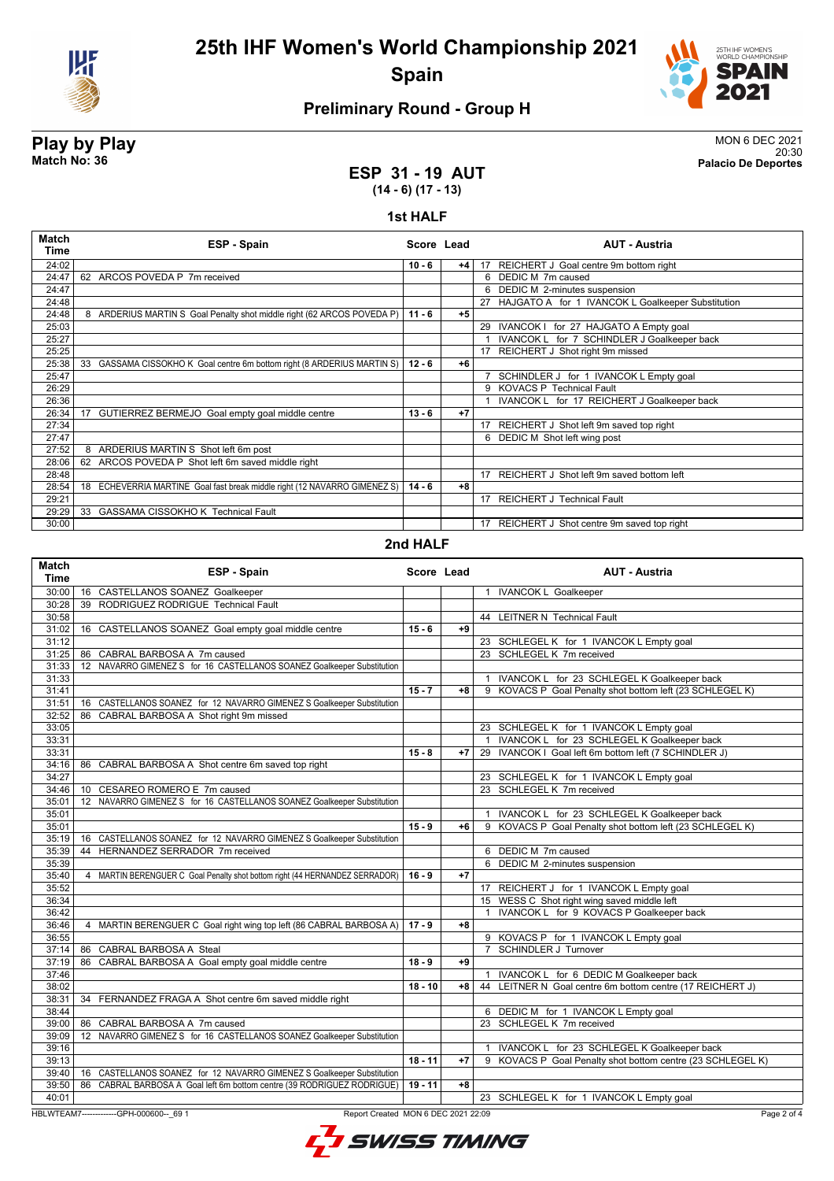



### **Preliminary Round - Group H**

#### **Play by Play** MON 6 DEC 2021 20:30 **Match No: 36 Palacio De Deportes**

**ESP 31 - 19 AUT (14 - 6) (17 - 13)**

#### **1st HALF**

| 24:02<br>17 REICHERT J Goal centre 9m bottom right<br>$10 - 6$<br>+4  <br>ARCOS POVEDA P 7m received<br>6 DEDIC M 7m caused<br>24:47<br>62<br>24:47<br>DEDIC M 2-minutes suspension<br>6<br>24:48<br>27 HAJGATO A for 1 IVANCOK L Goalkeeper Substitution<br>ARDERIUS MARTIN S Goal Penalty shot middle right (62 ARCOS POVEDA P)<br>24:48<br>8<br>$11 - 6$<br>$+5$<br>25:03<br>29 IVANCOK I for 27 HAJGATO A Empty goal<br>IVANCOK L for 7 SCHINDLER J Goalkeeper back<br>25:27<br>25:25<br>17 REICHERT J Shot right 9m missed<br>25:38<br>33<br>GASSAMA CISSOKHO K Goal centre 6m bottom right (8 ARDERIUS MARTIN S)<br>$12 - 6$<br>$+6$<br>25:47<br>SCHINDLER J for 1 IVANCOK L Empty goal<br>9 KOVACS P Technical Fault<br>26:29<br>26:36<br>IVANCOK L for 17 REICHERT J Goalkeeper back<br>17<br>GUTIERREZ BERMEJO Goal empty goal middle centre<br>$+7$<br>26:34<br>$13 - 6$<br>27:34<br>REICHERT J Shot left 9m saved top right<br>17<br>27:47<br>6 DEDIC M Shot left wing post<br>8 ARDERIUS MARTIN S Shot left 6m post<br>27:52<br>62 ARCOS POVEDA P Shot left 6m saved middle right<br>28:06<br>17 REICHERT J Shot left 9m saved bottom left<br>28:48<br>ECHEVERRIA MARTINE Goal fast break middle right (12 NAVARRO GIMENEZ S)<br>28:54<br>18<br>$14 - 6$<br>$+8$<br>17 REICHERT J Technical Fault<br>29:21<br><b>GASSAMA CISSOKHO K Technical Fault</b><br>29:29<br>33<br>30:00<br>REICHERT J Shot centre 9m saved top right<br>17 | Match<br>Time | <b>ESP - Spain</b> | Score Lead | <b>AUT - Austria</b> |
|------------------------------------------------------------------------------------------------------------------------------------------------------------------------------------------------------------------------------------------------------------------------------------------------------------------------------------------------------------------------------------------------------------------------------------------------------------------------------------------------------------------------------------------------------------------------------------------------------------------------------------------------------------------------------------------------------------------------------------------------------------------------------------------------------------------------------------------------------------------------------------------------------------------------------------------------------------------------------------------------------------------------------------------------------------------------------------------------------------------------------------------------------------------------------------------------------------------------------------------------------------------------------------------------------------------------------------------------------------------------------------------------------------------------------------------------|---------------|--------------------|------------|----------------------|
|                                                                                                                                                                                                                                                                                                                                                                                                                                                                                                                                                                                                                                                                                                                                                                                                                                                                                                                                                                                                                                                                                                                                                                                                                                                                                                                                                                                                                                                |               |                    |            |                      |
|                                                                                                                                                                                                                                                                                                                                                                                                                                                                                                                                                                                                                                                                                                                                                                                                                                                                                                                                                                                                                                                                                                                                                                                                                                                                                                                                                                                                                                                |               |                    |            |                      |
|                                                                                                                                                                                                                                                                                                                                                                                                                                                                                                                                                                                                                                                                                                                                                                                                                                                                                                                                                                                                                                                                                                                                                                                                                                                                                                                                                                                                                                                |               |                    |            |                      |
|                                                                                                                                                                                                                                                                                                                                                                                                                                                                                                                                                                                                                                                                                                                                                                                                                                                                                                                                                                                                                                                                                                                                                                                                                                                                                                                                                                                                                                                |               |                    |            |                      |
|                                                                                                                                                                                                                                                                                                                                                                                                                                                                                                                                                                                                                                                                                                                                                                                                                                                                                                                                                                                                                                                                                                                                                                                                                                                                                                                                                                                                                                                |               |                    |            |                      |
|                                                                                                                                                                                                                                                                                                                                                                                                                                                                                                                                                                                                                                                                                                                                                                                                                                                                                                                                                                                                                                                                                                                                                                                                                                                                                                                                                                                                                                                |               |                    |            |                      |
|                                                                                                                                                                                                                                                                                                                                                                                                                                                                                                                                                                                                                                                                                                                                                                                                                                                                                                                                                                                                                                                                                                                                                                                                                                                                                                                                                                                                                                                |               |                    |            |                      |
|                                                                                                                                                                                                                                                                                                                                                                                                                                                                                                                                                                                                                                                                                                                                                                                                                                                                                                                                                                                                                                                                                                                                                                                                                                                                                                                                                                                                                                                |               |                    |            |                      |
|                                                                                                                                                                                                                                                                                                                                                                                                                                                                                                                                                                                                                                                                                                                                                                                                                                                                                                                                                                                                                                                                                                                                                                                                                                                                                                                                                                                                                                                |               |                    |            |                      |
|                                                                                                                                                                                                                                                                                                                                                                                                                                                                                                                                                                                                                                                                                                                                                                                                                                                                                                                                                                                                                                                                                                                                                                                                                                                                                                                                                                                                                                                |               |                    |            |                      |
|                                                                                                                                                                                                                                                                                                                                                                                                                                                                                                                                                                                                                                                                                                                                                                                                                                                                                                                                                                                                                                                                                                                                                                                                                                                                                                                                                                                                                                                |               |                    |            |                      |
|                                                                                                                                                                                                                                                                                                                                                                                                                                                                                                                                                                                                                                                                                                                                                                                                                                                                                                                                                                                                                                                                                                                                                                                                                                                                                                                                                                                                                                                |               |                    |            |                      |
|                                                                                                                                                                                                                                                                                                                                                                                                                                                                                                                                                                                                                                                                                                                                                                                                                                                                                                                                                                                                                                                                                                                                                                                                                                                                                                                                                                                                                                                |               |                    |            |                      |
|                                                                                                                                                                                                                                                                                                                                                                                                                                                                                                                                                                                                                                                                                                                                                                                                                                                                                                                                                                                                                                                                                                                                                                                                                                                                                                                                                                                                                                                |               |                    |            |                      |
|                                                                                                                                                                                                                                                                                                                                                                                                                                                                                                                                                                                                                                                                                                                                                                                                                                                                                                                                                                                                                                                                                                                                                                                                                                                                                                                                                                                                                                                |               |                    |            |                      |
|                                                                                                                                                                                                                                                                                                                                                                                                                                                                                                                                                                                                                                                                                                                                                                                                                                                                                                                                                                                                                                                                                                                                                                                                                                                                                                                                                                                                                                                |               |                    |            |                      |
|                                                                                                                                                                                                                                                                                                                                                                                                                                                                                                                                                                                                                                                                                                                                                                                                                                                                                                                                                                                                                                                                                                                                                                                                                                                                                                                                                                                                                                                |               |                    |            |                      |
|                                                                                                                                                                                                                                                                                                                                                                                                                                                                                                                                                                                                                                                                                                                                                                                                                                                                                                                                                                                                                                                                                                                                                                                                                                                                                                                                                                                                                                                |               |                    |            |                      |
|                                                                                                                                                                                                                                                                                                                                                                                                                                                                                                                                                                                                                                                                                                                                                                                                                                                                                                                                                                                                                                                                                                                                                                                                                                                                                                                                                                                                                                                |               |                    |            |                      |
|                                                                                                                                                                                                                                                                                                                                                                                                                                                                                                                                                                                                                                                                                                                                                                                                                                                                                                                                                                                                                                                                                                                                                                                                                                                                                                                                                                                                                                                |               |                    |            |                      |
|                                                                                                                                                                                                                                                                                                                                                                                                                                                                                                                                                                                                                                                                                                                                                                                                                                                                                                                                                                                                                                                                                                                                                                                                                                                                                                                                                                                                                                                |               |                    |            |                      |
|                                                                                                                                                                                                                                                                                                                                                                                                                                                                                                                                                                                                                                                                                                                                                                                                                                                                                                                                                                                                                                                                                                                                                                                                                                                                                                                                                                                                                                                |               |                    |            |                      |

#### **2nd HALF**

| 30:00<br>16 CASTELLANOS SOANEZ Goalkeeper<br>1 IVANCOK L Goalkeeper<br>39 RODRIGUEZ RODRIGUE Technical Fault<br>30:28<br>30:58<br>44 LEITNER N Technical Fault<br>31:02<br>16 CASTELLANOS SOANEZ Goal empty goal middle centre<br>$15 - 6$<br>$+9$<br>31:12<br>23 SCHLEGEL K for 1 IVANCOK L Empty goal<br>86 CABRAL BARBOSA A 7m caused<br>23 SCHLEGEL K 7m received<br>31:25<br>31:33<br>12 NAVARRO GIMENEZ S for 16 CASTELLANOS SOANEZ Goalkeeper Substitution<br>31:33<br>1 IVANCOK L for 23 SCHLEGEL K Goalkeeper back<br>31:41<br>9 KOVACS P Goal Penalty shot bottom left (23 SCHLEGEL K)<br>$15 - 7$<br>$+8$<br>31:51<br>16 CASTELLANOS SOANEZ for 12 NAVARRO GIMENEZ S Goalkeeper Substitution<br>86 CABRAL BARBOSA A Shot right 9m missed<br>32:52<br>33:05<br>23 SCHLEGEL K for 1 IVANCOK L Empty goal<br>1 IVANCOK L for 23 SCHLEGEL K Goalkeeper back<br>33:31<br>29 IVANCOK I Goal left 6m bottom left (7 SCHINDLER J)<br>33:31<br>$15 - 8$<br>$+7$<br>34:16<br>86 CABRAL BARBOSA A Shot centre 6m saved top right<br>34:27<br>23 SCHLEGEL K for 1 IVANCOK L Empty goal<br>23 SCHLEGEL K 7m received<br>34:46<br>10 CESAREO ROMERO E 7m caused<br>12 NAVARRO GIMENEZ S for 16 CASTELLANOS SOANEZ Goalkeeper Substitution<br>35:01<br>35:01<br>1 IVANCOK L for 23 SCHLEGEL K Goalkeeper back<br>35:01<br>$15 - 9$<br>KOVACS P Goal Penalty shot bottom left (23 SCHLEGEL K)<br>+6<br>9<br>CASTELLANOS SOANEZ for 12 NAVARRO GIMENEZ S Goalkeeper Substitution<br>35:19<br>16<br>HERNANDEZ SERRADOR 7m received<br>6 DEDIC M 7m caused<br>35:39<br>44<br>35:39<br>6 DEDIC M 2-minutes suspension<br>35:40<br>4 MARTIN BERENGUER C Goal Penalty shot bottom right (44 HERNANDEZ SERRADOR)<br>$16 - 9$<br>$+7$<br>35:52<br>17 REICHERT J for 1 IVANCOK L Empty goal<br>15 WESS C Shot right wing saved middle left<br>36:34<br>1 IVANCOK L for 9 KOVACS P Goalkeeper back<br>36:42<br>4 MARTIN BERENGUER C Goal right wing top left (86 CABRAL BARBOSA A)<br>36:46<br>$17 - 9$<br>$+8$<br>9 KOVACS P for 1 IVANCOK L Empty goal<br>36:55<br>7 SCHINDLER J Turnover<br>37:14<br>86 CABRAL BARBOSA A Steal<br>86 CABRAL BARBOSA A Goal empty goal middle centre<br>37:19<br>$18 - 9$<br>+9<br>37:46<br>1 IVANCOK L for 6 DEDIC M Goalkeeper back<br>38:02<br>44 LEITNER N Goal centre 6m bottom centre (17 REICHERT J)<br>$18 - 10$<br>+8<br>38:31<br>34 FERNANDEZ FRAGA A Shot centre 6m saved middle right<br>38:44<br>6 DEDIC M for 1 IVANCOK L Empty goal<br>23 SCHLEGEL K 7m received<br>39:00<br>86 CABRAL BARBOSA A 7m caused<br>12 NAVARRO GIMENEZ S for 16 CASTELLANOS SOANEZ Goalkeeper Substitution<br>39:09<br>39:16<br>IVANCOK L for 23 SCHLEGEL K Goalkeeper back<br>$\mathbf{1}$<br>$18 - 11$<br>9 KOVACS P Goal Penalty shot bottom centre (23 SCHLEGEL K)<br>39:13<br>+7<br>16 CASTELLANOS SOANEZ for 12 NAVARRO GIMENEZ S Goalkeeper Substitution<br>39:40<br>CABRAL BARBOSA A Goal left 6m bottom centre (39 RODRIGUEZ RODRIGUE)<br>39:50<br>$19 - 11$<br>86<br>$+8$<br>40:01<br>23 SCHLEGEL K for 1 IVANCOK L Empty goal | Match<br><b>Time</b> | ESP - Spain | Score Lead | <b>AUT - Austria</b> |
|------------------------------------------------------------------------------------------------------------------------------------------------------------------------------------------------------------------------------------------------------------------------------------------------------------------------------------------------------------------------------------------------------------------------------------------------------------------------------------------------------------------------------------------------------------------------------------------------------------------------------------------------------------------------------------------------------------------------------------------------------------------------------------------------------------------------------------------------------------------------------------------------------------------------------------------------------------------------------------------------------------------------------------------------------------------------------------------------------------------------------------------------------------------------------------------------------------------------------------------------------------------------------------------------------------------------------------------------------------------------------------------------------------------------------------------------------------------------------------------------------------------------------------------------------------------------------------------------------------------------------------------------------------------------------------------------------------------------------------------------------------------------------------------------------------------------------------------------------------------------------------------------------------------------------------------------------------------------------------------------------------------------------------------------------------------------------------------------------------------------------------------------------------------------------------------------------------------------------------------------------------------------------------------------------------------------------------------------------------------------------------------------------------------------------------------------------------------------------------------------------------------------------------------------------------------------------------------------------------------------------------------------------------------------------------------------------------------------------------------------------------------------------------------------------------------------------------------------------------------------------------------------------------------------------------------------------------------------------------------------------------------------------------------------------|----------------------|-------------|------------|----------------------|
|                                                                                                                                                                                                                                                                                                                                                                                                                                                                                                                                                                                                                                                                                                                                                                                                                                                                                                                                                                                                                                                                                                                                                                                                                                                                                                                                                                                                                                                                                                                                                                                                                                                                                                                                                                                                                                                                                                                                                                                                                                                                                                                                                                                                                                                                                                                                                                                                                                                                                                                                                                                                                                                                                                                                                                                                                                                                                                                                                                                                                                                      |                      |             |            |                      |
|                                                                                                                                                                                                                                                                                                                                                                                                                                                                                                                                                                                                                                                                                                                                                                                                                                                                                                                                                                                                                                                                                                                                                                                                                                                                                                                                                                                                                                                                                                                                                                                                                                                                                                                                                                                                                                                                                                                                                                                                                                                                                                                                                                                                                                                                                                                                                                                                                                                                                                                                                                                                                                                                                                                                                                                                                                                                                                                                                                                                                                                      |                      |             |            |                      |
|                                                                                                                                                                                                                                                                                                                                                                                                                                                                                                                                                                                                                                                                                                                                                                                                                                                                                                                                                                                                                                                                                                                                                                                                                                                                                                                                                                                                                                                                                                                                                                                                                                                                                                                                                                                                                                                                                                                                                                                                                                                                                                                                                                                                                                                                                                                                                                                                                                                                                                                                                                                                                                                                                                                                                                                                                                                                                                                                                                                                                                                      |                      |             |            |                      |
|                                                                                                                                                                                                                                                                                                                                                                                                                                                                                                                                                                                                                                                                                                                                                                                                                                                                                                                                                                                                                                                                                                                                                                                                                                                                                                                                                                                                                                                                                                                                                                                                                                                                                                                                                                                                                                                                                                                                                                                                                                                                                                                                                                                                                                                                                                                                                                                                                                                                                                                                                                                                                                                                                                                                                                                                                                                                                                                                                                                                                                                      |                      |             |            |                      |
|                                                                                                                                                                                                                                                                                                                                                                                                                                                                                                                                                                                                                                                                                                                                                                                                                                                                                                                                                                                                                                                                                                                                                                                                                                                                                                                                                                                                                                                                                                                                                                                                                                                                                                                                                                                                                                                                                                                                                                                                                                                                                                                                                                                                                                                                                                                                                                                                                                                                                                                                                                                                                                                                                                                                                                                                                                                                                                                                                                                                                                                      |                      |             |            |                      |
|                                                                                                                                                                                                                                                                                                                                                                                                                                                                                                                                                                                                                                                                                                                                                                                                                                                                                                                                                                                                                                                                                                                                                                                                                                                                                                                                                                                                                                                                                                                                                                                                                                                                                                                                                                                                                                                                                                                                                                                                                                                                                                                                                                                                                                                                                                                                                                                                                                                                                                                                                                                                                                                                                                                                                                                                                                                                                                                                                                                                                                                      |                      |             |            |                      |
|                                                                                                                                                                                                                                                                                                                                                                                                                                                                                                                                                                                                                                                                                                                                                                                                                                                                                                                                                                                                                                                                                                                                                                                                                                                                                                                                                                                                                                                                                                                                                                                                                                                                                                                                                                                                                                                                                                                                                                                                                                                                                                                                                                                                                                                                                                                                                                                                                                                                                                                                                                                                                                                                                                                                                                                                                                                                                                                                                                                                                                                      |                      |             |            |                      |
|                                                                                                                                                                                                                                                                                                                                                                                                                                                                                                                                                                                                                                                                                                                                                                                                                                                                                                                                                                                                                                                                                                                                                                                                                                                                                                                                                                                                                                                                                                                                                                                                                                                                                                                                                                                                                                                                                                                                                                                                                                                                                                                                                                                                                                                                                                                                                                                                                                                                                                                                                                                                                                                                                                                                                                                                                                                                                                                                                                                                                                                      |                      |             |            |                      |
|                                                                                                                                                                                                                                                                                                                                                                                                                                                                                                                                                                                                                                                                                                                                                                                                                                                                                                                                                                                                                                                                                                                                                                                                                                                                                                                                                                                                                                                                                                                                                                                                                                                                                                                                                                                                                                                                                                                                                                                                                                                                                                                                                                                                                                                                                                                                                                                                                                                                                                                                                                                                                                                                                                                                                                                                                                                                                                                                                                                                                                                      |                      |             |            |                      |
|                                                                                                                                                                                                                                                                                                                                                                                                                                                                                                                                                                                                                                                                                                                                                                                                                                                                                                                                                                                                                                                                                                                                                                                                                                                                                                                                                                                                                                                                                                                                                                                                                                                                                                                                                                                                                                                                                                                                                                                                                                                                                                                                                                                                                                                                                                                                                                                                                                                                                                                                                                                                                                                                                                                                                                                                                                                                                                                                                                                                                                                      |                      |             |            |                      |
|                                                                                                                                                                                                                                                                                                                                                                                                                                                                                                                                                                                                                                                                                                                                                                                                                                                                                                                                                                                                                                                                                                                                                                                                                                                                                                                                                                                                                                                                                                                                                                                                                                                                                                                                                                                                                                                                                                                                                                                                                                                                                                                                                                                                                                                                                                                                                                                                                                                                                                                                                                                                                                                                                                                                                                                                                                                                                                                                                                                                                                                      |                      |             |            |                      |
|                                                                                                                                                                                                                                                                                                                                                                                                                                                                                                                                                                                                                                                                                                                                                                                                                                                                                                                                                                                                                                                                                                                                                                                                                                                                                                                                                                                                                                                                                                                                                                                                                                                                                                                                                                                                                                                                                                                                                                                                                                                                                                                                                                                                                                                                                                                                                                                                                                                                                                                                                                                                                                                                                                                                                                                                                                                                                                                                                                                                                                                      |                      |             |            |                      |
|                                                                                                                                                                                                                                                                                                                                                                                                                                                                                                                                                                                                                                                                                                                                                                                                                                                                                                                                                                                                                                                                                                                                                                                                                                                                                                                                                                                                                                                                                                                                                                                                                                                                                                                                                                                                                                                                                                                                                                                                                                                                                                                                                                                                                                                                                                                                                                                                                                                                                                                                                                                                                                                                                                                                                                                                                                                                                                                                                                                                                                                      |                      |             |            |                      |
|                                                                                                                                                                                                                                                                                                                                                                                                                                                                                                                                                                                                                                                                                                                                                                                                                                                                                                                                                                                                                                                                                                                                                                                                                                                                                                                                                                                                                                                                                                                                                                                                                                                                                                                                                                                                                                                                                                                                                                                                                                                                                                                                                                                                                                                                                                                                                                                                                                                                                                                                                                                                                                                                                                                                                                                                                                                                                                                                                                                                                                                      |                      |             |            |                      |
|                                                                                                                                                                                                                                                                                                                                                                                                                                                                                                                                                                                                                                                                                                                                                                                                                                                                                                                                                                                                                                                                                                                                                                                                                                                                                                                                                                                                                                                                                                                                                                                                                                                                                                                                                                                                                                                                                                                                                                                                                                                                                                                                                                                                                                                                                                                                                                                                                                                                                                                                                                                                                                                                                                                                                                                                                                                                                                                                                                                                                                                      |                      |             |            |                      |
|                                                                                                                                                                                                                                                                                                                                                                                                                                                                                                                                                                                                                                                                                                                                                                                                                                                                                                                                                                                                                                                                                                                                                                                                                                                                                                                                                                                                                                                                                                                                                                                                                                                                                                                                                                                                                                                                                                                                                                                                                                                                                                                                                                                                                                                                                                                                                                                                                                                                                                                                                                                                                                                                                                                                                                                                                                                                                                                                                                                                                                                      |                      |             |            |                      |
|                                                                                                                                                                                                                                                                                                                                                                                                                                                                                                                                                                                                                                                                                                                                                                                                                                                                                                                                                                                                                                                                                                                                                                                                                                                                                                                                                                                                                                                                                                                                                                                                                                                                                                                                                                                                                                                                                                                                                                                                                                                                                                                                                                                                                                                                                                                                                                                                                                                                                                                                                                                                                                                                                                                                                                                                                                                                                                                                                                                                                                                      |                      |             |            |                      |
|                                                                                                                                                                                                                                                                                                                                                                                                                                                                                                                                                                                                                                                                                                                                                                                                                                                                                                                                                                                                                                                                                                                                                                                                                                                                                                                                                                                                                                                                                                                                                                                                                                                                                                                                                                                                                                                                                                                                                                                                                                                                                                                                                                                                                                                                                                                                                                                                                                                                                                                                                                                                                                                                                                                                                                                                                                                                                                                                                                                                                                                      |                      |             |            |                      |
|                                                                                                                                                                                                                                                                                                                                                                                                                                                                                                                                                                                                                                                                                                                                                                                                                                                                                                                                                                                                                                                                                                                                                                                                                                                                                                                                                                                                                                                                                                                                                                                                                                                                                                                                                                                                                                                                                                                                                                                                                                                                                                                                                                                                                                                                                                                                                                                                                                                                                                                                                                                                                                                                                                                                                                                                                                                                                                                                                                                                                                                      |                      |             |            |                      |
|                                                                                                                                                                                                                                                                                                                                                                                                                                                                                                                                                                                                                                                                                                                                                                                                                                                                                                                                                                                                                                                                                                                                                                                                                                                                                                                                                                                                                                                                                                                                                                                                                                                                                                                                                                                                                                                                                                                                                                                                                                                                                                                                                                                                                                                                                                                                                                                                                                                                                                                                                                                                                                                                                                                                                                                                                                                                                                                                                                                                                                                      |                      |             |            |                      |
|                                                                                                                                                                                                                                                                                                                                                                                                                                                                                                                                                                                                                                                                                                                                                                                                                                                                                                                                                                                                                                                                                                                                                                                                                                                                                                                                                                                                                                                                                                                                                                                                                                                                                                                                                                                                                                                                                                                                                                                                                                                                                                                                                                                                                                                                                                                                                                                                                                                                                                                                                                                                                                                                                                                                                                                                                                                                                                                                                                                                                                                      |                      |             |            |                      |
|                                                                                                                                                                                                                                                                                                                                                                                                                                                                                                                                                                                                                                                                                                                                                                                                                                                                                                                                                                                                                                                                                                                                                                                                                                                                                                                                                                                                                                                                                                                                                                                                                                                                                                                                                                                                                                                                                                                                                                                                                                                                                                                                                                                                                                                                                                                                                                                                                                                                                                                                                                                                                                                                                                                                                                                                                                                                                                                                                                                                                                                      |                      |             |            |                      |
|                                                                                                                                                                                                                                                                                                                                                                                                                                                                                                                                                                                                                                                                                                                                                                                                                                                                                                                                                                                                                                                                                                                                                                                                                                                                                                                                                                                                                                                                                                                                                                                                                                                                                                                                                                                                                                                                                                                                                                                                                                                                                                                                                                                                                                                                                                                                                                                                                                                                                                                                                                                                                                                                                                                                                                                                                                                                                                                                                                                                                                                      |                      |             |            |                      |
|                                                                                                                                                                                                                                                                                                                                                                                                                                                                                                                                                                                                                                                                                                                                                                                                                                                                                                                                                                                                                                                                                                                                                                                                                                                                                                                                                                                                                                                                                                                                                                                                                                                                                                                                                                                                                                                                                                                                                                                                                                                                                                                                                                                                                                                                                                                                                                                                                                                                                                                                                                                                                                                                                                                                                                                                                                                                                                                                                                                                                                                      |                      |             |            |                      |
|                                                                                                                                                                                                                                                                                                                                                                                                                                                                                                                                                                                                                                                                                                                                                                                                                                                                                                                                                                                                                                                                                                                                                                                                                                                                                                                                                                                                                                                                                                                                                                                                                                                                                                                                                                                                                                                                                                                                                                                                                                                                                                                                                                                                                                                                                                                                                                                                                                                                                                                                                                                                                                                                                                                                                                                                                                                                                                                                                                                                                                                      |                      |             |            |                      |
|                                                                                                                                                                                                                                                                                                                                                                                                                                                                                                                                                                                                                                                                                                                                                                                                                                                                                                                                                                                                                                                                                                                                                                                                                                                                                                                                                                                                                                                                                                                                                                                                                                                                                                                                                                                                                                                                                                                                                                                                                                                                                                                                                                                                                                                                                                                                                                                                                                                                                                                                                                                                                                                                                                                                                                                                                                                                                                                                                                                                                                                      |                      |             |            |                      |
|                                                                                                                                                                                                                                                                                                                                                                                                                                                                                                                                                                                                                                                                                                                                                                                                                                                                                                                                                                                                                                                                                                                                                                                                                                                                                                                                                                                                                                                                                                                                                                                                                                                                                                                                                                                                                                                                                                                                                                                                                                                                                                                                                                                                                                                                                                                                                                                                                                                                                                                                                                                                                                                                                                                                                                                                                                                                                                                                                                                                                                                      |                      |             |            |                      |
|                                                                                                                                                                                                                                                                                                                                                                                                                                                                                                                                                                                                                                                                                                                                                                                                                                                                                                                                                                                                                                                                                                                                                                                                                                                                                                                                                                                                                                                                                                                                                                                                                                                                                                                                                                                                                                                                                                                                                                                                                                                                                                                                                                                                                                                                                                                                                                                                                                                                                                                                                                                                                                                                                                                                                                                                                                                                                                                                                                                                                                                      |                      |             |            |                      |
|                                                                                                                                                                                                                                                                                                                                                                                                                                                                                                                                                                                                                                                                                                                                                                                                                                                                                                                                                                                                                                                                                                                                                                                                                                                                                                                                                                                                                                                                                                                                                                                                                                                                                                                                                                                                                                                                                                                                                                                                                                                                                                                                                                                                                                                                                                                                                                                                                                                                                                                                                                                                                                                                                                                                                                                                                                                                                                                                                                                                                                                      |                      |             |            |                      |
|                                                                                                                                                                                                                                                                                                                                                                                                                                                                                                                                                                                                                                                                                                                                                                                                                                                                                                                                                                                                                                                                                                                                                                                                                                                                                                                                                                                                                                                                                                                                                                                                                                                                                                                                                                                                                                                                                                                                                                                                                                                                                                                                                                                                                                                                                                                                                                                                                                                                                                                                                                                                                                                                                                                                                                                                                                                                                                                                                                                                                                                      |                      |             |            |                      |
|                                                                                                                                                                                                                                                                                                                                                                                                                                                                                                                                                                                                                                                                                                                                                                                                                                                                                                                                                                                                                                                                                                                                                                                                                                                                                                                                                                                                                                                                                                                                                                                                                                                                                                                                                                                                                                                                                                                                                                                                                                                                                                                                                                                                                                                                                                                                                                                                                                                                                                                                                                                                                                                                                                                                                                                                                                                                                                                                                                                                                                                      |                      |             |            |                      |
|                                                                                                                                                                                                                                                                                                                                                                                                                                                                                                                                                                                                                                                                                                                                                                                                                                                                                                                                                                                                                                                                                                                                                                                                                                                                                                                                                                                                                                                                                                                                                                                                                                                                                                                                                                                                                                                                                                                                                                                                                                                                                                                                                                                                                                                                                                                                                                                                                                                                                                                                                                                                                                                                                                                                                                                                                                                                                                                                                                                                                                                      |                      |             |            |                      |
|                                                                                                                                                                                                                                                                                                                                                                                                                                                                                                                                                                                                                                                                                                                                                                                                                                                                                                                                                                                                                                                                                                                                                                                                                                                                                                                                                                                                                                                                                                                                                                                                                                                                                                                                                                                                                                                                                                                                                                                                                                                                                                                                                                                                                                                                                                                                                                                                                                                                                                                                                                                                                                                                                                                                                                                                                                                                                                                                                                                                                                                      |                      |             |            |                      |
|                                                                                                                                                                                                                                                                                                                                                                                                                                                                                                                                                                                                                                                                                                                                                                                                                                                                                                                                                                                                                                                                                                                                                                                                                                                                                                                                                                                                                                                                                                                                                                                                                                                                                                                                                                                                                                                                                                                                                                                                                                                                                                                                                                                                                                                                                                                                                                                                                                                                                                                                                                                                                                                                                                                                                                                                                                                                                                                                                                                                                                                      |                      |             |            |                      |
|                                                                                                                                                                                                                                                                                                                                                                                                                                                                                                                                                                                                                                                                                                                                                                                                                                                                                                                                                                                                                                                                                                                                                                                                                                                                                                                                                                                                                                                                                                                                                                                                                                                                                                                                                                                                                                                                                                                                                                                                                                                                                                                                                                                                                                                                                                                                                                                                                                                                                                                                                                                                                                                                                                                                                                                                                                                                                                                                                                                                                                                      |                      |             |            |                      |
|                                                                                                                                                                                                                                                                                                                                                                                                                                                                                                                                                                                                                                                                                                                                                                                                                                                                                                                                                                                                                                                                                                                                                                                                                                                                                                                                                                                                                                                                                                                                                                                                                                                                                                                                                                                                                                                                                                                                                                                                                                                                                                                                                                                                                                                                                                                                                                                                                                                                                                                                                                                                                                                                                                                                                                                                                                                                                                                                                                                                                                                      |                      |             |            |                      |
|                                                                                                                                                                                                                                                                                                                                                                                                                                                                                                                                                                                                                                                                                                                                                                                                                                                                                                                                                                                                                                                                                                                                                                                                                                                                                                                                                                                                                                                                                                                                                                                                                                                                                                                                                                                                                                                                                                                                                                                                                                                                                                                                                                                                                                                                                                                                                                                                                                                                                                                                                                                                                                                                                                                                                                                                                                                                                                                                                                                                                                                      |                      |             |            |                      |
|                                                                                                                                                                                                                                                                                                                                                                                                                                                                                                                                                                                                                                                                                                                                                                                                                                                                                                                                                                                                                                                                                                                                                                                                                                                                                                                                                                                                                                                                                                                                                                                                                                                                                                                                                                                                                                                                                                                                                                                                                                                                                                                                                                                                                                                                                                                                                                                                                                                                                                                                                                                                                                                                                                                                                                                                                                                                                                                                                                                                                                                      |                      |             |            |                      |
|                                                                                                                                                                                                                                                                                                                                                                                                                                                                                                                                                                                                                                                                                                                                                                                                                                                                                                                                                                                                                                                                                                                                                                                                                                                                                                                                                                                                                                                                                                                                                                                                                                                                                                                                                                                                                                                                                                                                                                                                                                                                                                                                                                                                                                                                                                                                                                                                                                                                                                                                                                                                                                                                                                                                                                                                                                                                                                                                                                                                                                                      |                      |             |            |                      |
|                                                                                                                                                                                                                                                                                                                                                                                                                                                                                                                                                                                                                                                                                                                                                                                                                                                                                                                                                                                                                                                                                                                                                                                                                                                                                                                                                                                                                                                                                                                                                                                                                                                                                                                                                                                                                                                                                                                                                                                                                                                                                                                                                                                                                                                                                                                                                                                                                                                                                                                                                                                                                                                                                                                                                                                                                                                                                                                                                                                                                                                      |                      |             |            |                      |
|                                                                                                                                                                                                                                                                                                                                                                                                                                                                                                                                                                                                                                                                                                                                                                                                                                                                                                                                                                                                                                                                                                                                                                                                                                                                                                                                                                                                                                                                                                                                                                                                                                                                                                                                                                                                                                                                                                                                                                                                                                                                                                                                                                                                                                                                                                                                                                                                                                                                                                                                                                                                                                                                                                                                                                                                                                                                                                                                                                                                                                                      |                      |             |            |                      |
|                                                                                                                                                                                                                                                                                                                                                                                                                                                                                                                                                                                                                                                                                                                                                                                                                                                                                                                                                                                                                                                                                                                                                                                                                                                                                                                                                                                                                                                                                                                                                                                                                                                                                                                                                                                                                                                                                                                                                                                                                                                                                                                                                                                                                                                                                                                                                                                                                                                                                                                                                                                                                                                                                                                                                                                                                                                                                                                                                                                                                                                      |                      |             |            |                      |

HBLWTEAM7-------------GPH-000600--\_69 1 Report Created MON 6 DEC 2021 22:09

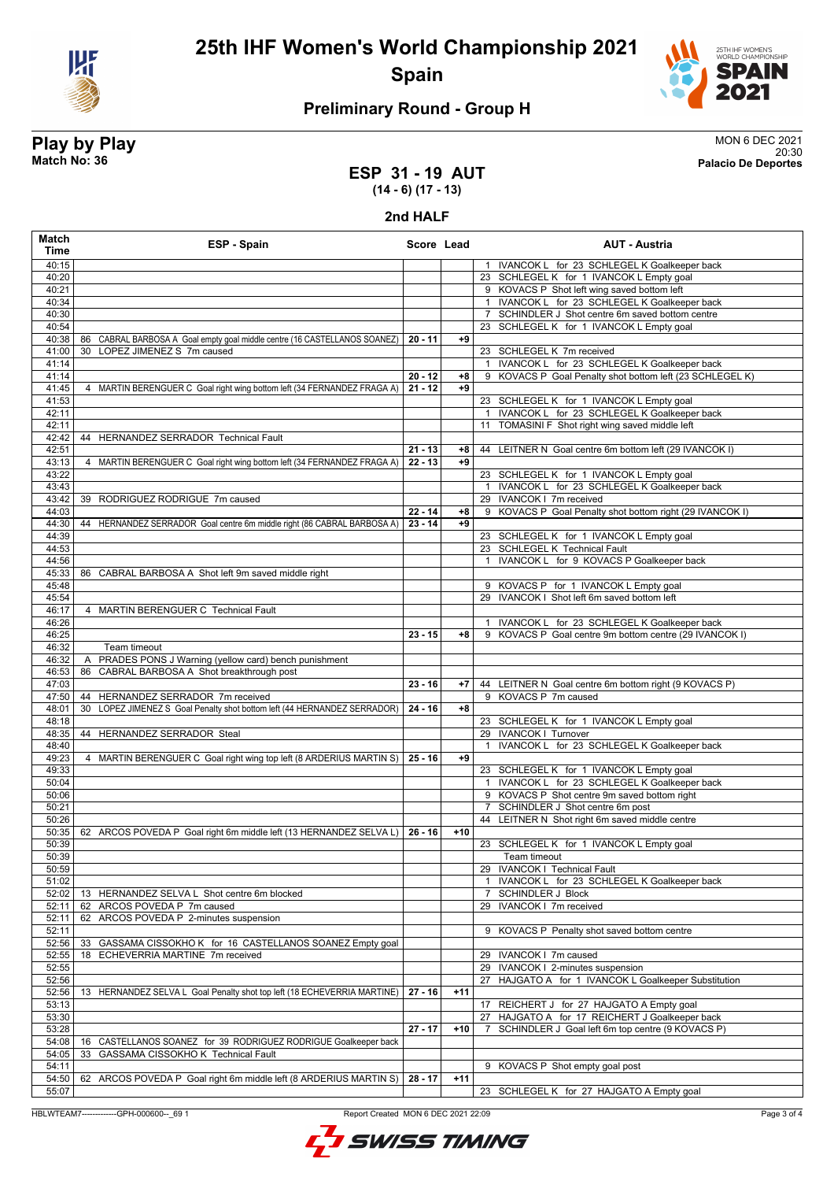



### **Preliminary Round - Group H**

# **Play by Play** MON 6 DEC 2021

20:30 **Match No: 36 Palacio De Deportes**

#### **ESP 31 - 19 AUT (14 - 6) (17 - 13)**

**2nd HALF**

| Match<br>Time  | ESP - Spain                                                                   | Score Lead |       | <b>AUT - Austria</b>                                                                           |
|----------------|-------------------------------------------------------------------------------|------------|-------|------------------------------------------------------------------------------------------------|
| 40:15          |                                                                               |            |       | 1 IVANCOK L for 23 SCHLEGEL K Goalkeeper back                                                  |
| 40:20          |                                                                               |            |       | 23 SCHLEGEL K for 1 IVANCOK L Empty goal                                                       |
| 40:21          |                                                                               |            |       | 9 KOVACS P Shot left wing saved bottom left                                                    |
| 40:34          |                                                                               |            |       | 1 IVANCOK L for 23 SCHLEGEL K Goalkeeper back                                                  |
| 40:30<br>40:54 |                                                                               |            |       | SCHINDLER J Shot centre 6m saved bottom centre<br>23 SCHLEGEL K for 1 IVANCOK L Empty goal     |
| 40:38          | 86 CABRAL BARBOSA A Goal empty goal middle centre (16 CASTELLANOS SOANEZ)     | $20 - 11$  | +9    |                                                                                                |
| 41:00          | LOPEZ JIMENEZ S 7m caused<br>30                                               |            |       | 23 SCHLEGEL K 7m received                                                                      |
| 41:14          |                                                                               |            |       | 1 IVANCOK L for 23 SCHLEGEL K Goalkeeper back                                                  |
| 41:14          |                                                                               | $20 - 12$  | $+8$  | 9 KOVACS P Goal Penalty shot bottom left (23 SCHLEGEL K)                                       |
| 41:45          | 4 MARTIN BERENGUER C Goal right wing bottom left (34 FERNANDEZ FRAGA A)       | $21 - 12$  | $+9$  |                                                                                                |
| 41:53          |                                                                               |            |       | 23 SCHLEGEL K for 1 IVANCOK L Empty goal                                                       |
| 42:11          |                                                                               |            |       | 1 IVANCOK L for 23 SCHLEGEL K Goalkeeper back                                                  |
| 42:11<br>42:42 |                                                                               |            |       | 11 TOMASINI F Shot right wing saved middle left                                                |
| 42:51          | 44 HERNANDEZ SERRADOR Technical Fault                                         | $21 - 13$  | +8    | 44 LEITNER N Goal centre 6m bottom left (29 IVANCOK I)                                         |
| 43:13          | 4 MARTIN BERENGUER C Goal right wing bottom left (34 FERNANDEZ FRAGA A)       | $22 - 13$  | $+9$  |                                                                                                |
| 43:22          |                                                                               |            |       | 23 SCHLEGEL K for 1 IVANCOK L Empty goal                                                       |
| 43:43          |                                                                               |            |       | 1 IVANCOK L for 23 SCHLEGEL K Goalkeeper back                                                  |
| 43:42          | 39 RODRIGUEZ RODRIGUE 7m caused                                               |            |       | 29 IVANCOK I 7m received                                                                       |
| 44:03          |                                                                               | $22 - 14$  | $+8$  | 9 KOVACS P Goal Penalty shot bottom right (29 IVANCOK I)                                       |
| 44:30          | 44 HERNANDEZ SERRADOR Goal centre 6m middle right (86 CABRAL BARBOSA A)       | $23 - 14$  | $+9$  |                                                                                                |
| 44:39          |                                                                               |            |       | 23 SCHLEGEL K for 1 IVANCOK L Empty goal                                                       |
| 44:53<br>44:56 |                                                                               |            |       | 23 SCHLEGEL K Technical Fault<br>1 IVANCOK L for 9 KOVACS P Goalkeeper back                    |
| 45:33          | 86 CABRAL BARBOSA A Shot left 9m saved middle right                           |            |       |                                                                                                |
| 45:48          |                                                                               |            |       | 9 KOVACS P for 1 IVANCOK L Empty goal                                                          |
| 45:54          |                                                                               |            |       | 29 IVANCOK I Shot left 6m saved bottom left                                                    |
| 46:17          | 4 MARTIN BERENGUER C Technical Fault                                          |            |       |                                                                                                |
| 46:26          |                                                                               |            |       | 1 IVANCOK L for 23 SCHLEGEL K Goalkeeper back                                                  |
| 46:25          |                                                                               | $23 - 15$  | $+8$  | 9 KOVACS P Goal centre 9m bottom centre (29 IVANCOK I)                                         |
| 46:32          | Team timeout                                                                  |            |       |                                                                                                |
| 46:32<br>46:53 | PRADES PONS J Warning (yellow card) bench punishment<br>86                    |            |       |                                                                                                |
| 47:03          | CABRAL BARBOSA A Shot breakthrough post                                       | $23 - 16$  | $+7$  | 44 LEITNER N Goal centre 6m bottom right (9 KOVACS P)                                          |
| 47:50          | 44 HERNANDEZ SERRADOR 7m received                                             |            |       | 9 KOVACS P 7m caused                                                                           |
| 48:01          | LOPEZ JIMENEZ S Goal Penalty shot bottom left (44 HERNANDEZ SERRADOR)<br>30   | $24 - 16$  | $+8$  |                                                                                                |
| 48:18          |                                                                               |            |       | 23 SCHLEGEL K for 1 IVANCOK L Empty goal                                                       |
| 48:35          | HERNANDEZ SERRADOR Steal<br>44                                                |            |       | 29 IVANCOK I Turnover                                                                          |
| 48:40          |                                                                               |            |       | IVANCOK L for 23 SCHLEGEL K Goalkeeper back<br>$\mathbf{1}$                                    |
| 49:23          | 4 MARTIN BERENGUER C Goal right wing top left (8 ARDERIUS MARTIN S)   25 - 16 |            | $+9$  |                                                                                                |
| 49:33<br>50:04 |                                                                               |            |       | 23 SCHLEGEL K for 1 IVANCOK L Empty goal<br>1 IVANCOK L for 23 SCHLEGEL K Goalkeeper back      |
| 50:06          |                                                                               |            |       | 9 KOVACS P Shot centre 9m saved bottom right                                                   |
| 50:21          |                                                                               |            |       | SCHINDLER J Shot centre 6m post<br>$7^{\circ}$                                                 |
| 50:26          |                                                                               |            |       | 44 LEITNER N Shot right 6m saved middle centre                                                 |
| 50:35          | 62 ARCOS POVEDA P Goal right 6m middle left (13 HERNANDEZ SELVA L)            | 26 - 16    | $+10$ |                                                                                                |
| 50:39          |                                                                               |            |       | 23 SCHLEGEL K for 1 IVANCOK L Empty goal                                                       |
| 50:39          |                                                                               |            |       | Team timeout                                                                                   |
| 50:59          |                                                                               |            |       | 29 IVANCOK I Technical Fault                                                                   |
| 51:02          |                                                                               |            |       | 1 IVANCOK L for 23 SCHLEGEL K Goalkeeper back                                                  |
| 52:02<br>52:11 | 13 HERNANDEZ SELVA L Shot centre 6m blocked<br>62 ARCOS POVEDA P 7m caused    |            |       | <b>SCHINDLER J Block</b><br>$\mathbf{7}$<br>IVANCOK I 7m received<br>29                        |
| 52:11          | 62<br>ARCOS POVEDA P 2-minutes suspension                                     |            |       |                                                                                                |
| 52:11          |                                                                               |            |       | KOVACS P Penalty shot saved bottom centre<br>9                                                 |
| 52:56          | 33<br>GASSAMA CISSOKHO K for 16 CASTELLANOS SOANEZ Empty goal                 |            |       |                                                                                                |
| 52:55          | ECHEVERRIA MARTINE 7m received<br>18                                          |            |       | 29 IVANCOK I 7m caused                                                                         |
| 52:55          |                                                                               |            |       | 29 IVANCOK   2-minutes suspension                                                              |
| 52:56          |                                                                               |            |       | 27 HAJGATO A for 1 IVANCOK L Goalkeeper Substitution                                           |
| 52:56          | 13 HERNANDEZ SELVA L Goal Penalty shot top left (18 ECHEVERRIA MARTINE)       | 27 - 16    | $+11$ |                                                                                                |
| 53:13<br>53:30 |                                                                               |            |       | 17 REICHERT J for 27 HAJGATO A Empty goal<br>HAJGATO A for 17 REICHERT J Goalkeeper back<br>27 |
| 53:28          |                                                                               | $27 - 17$  | $+10$ | SCHINDLER J Goal left 6m top centre (9 KOVACS P)                                               |
| 54:08          | 16 CASTELLANOS SOANEZ for 39 RODRIGUEZ RODRIGUE Goalkeeper back               |            |       |                                                                                                |
| 54:05          | GASSAMA CISSOKHO K Technical Fault<br>33                                      |            |       |                                                                                                |
| 54:11          |                                                                               |            |       | 9 KOVACS P Shot empty goal post                                                                |
| 54:50          | 62 ARCOS POVEDA P Goal right 6m middle left (8 ARDERIUS MARTIN S)             | 28 - 17    | $+11$ |                                                                                                |
| 55:07          |                                                                               |            |       | 23 SCHLEGEL K for 27 HAJGATO A Empty goal                                                      |

HBLWTEAM7-------------GPH-000600--\_69 1 Report Created MON 6 DEC 2021 22:09